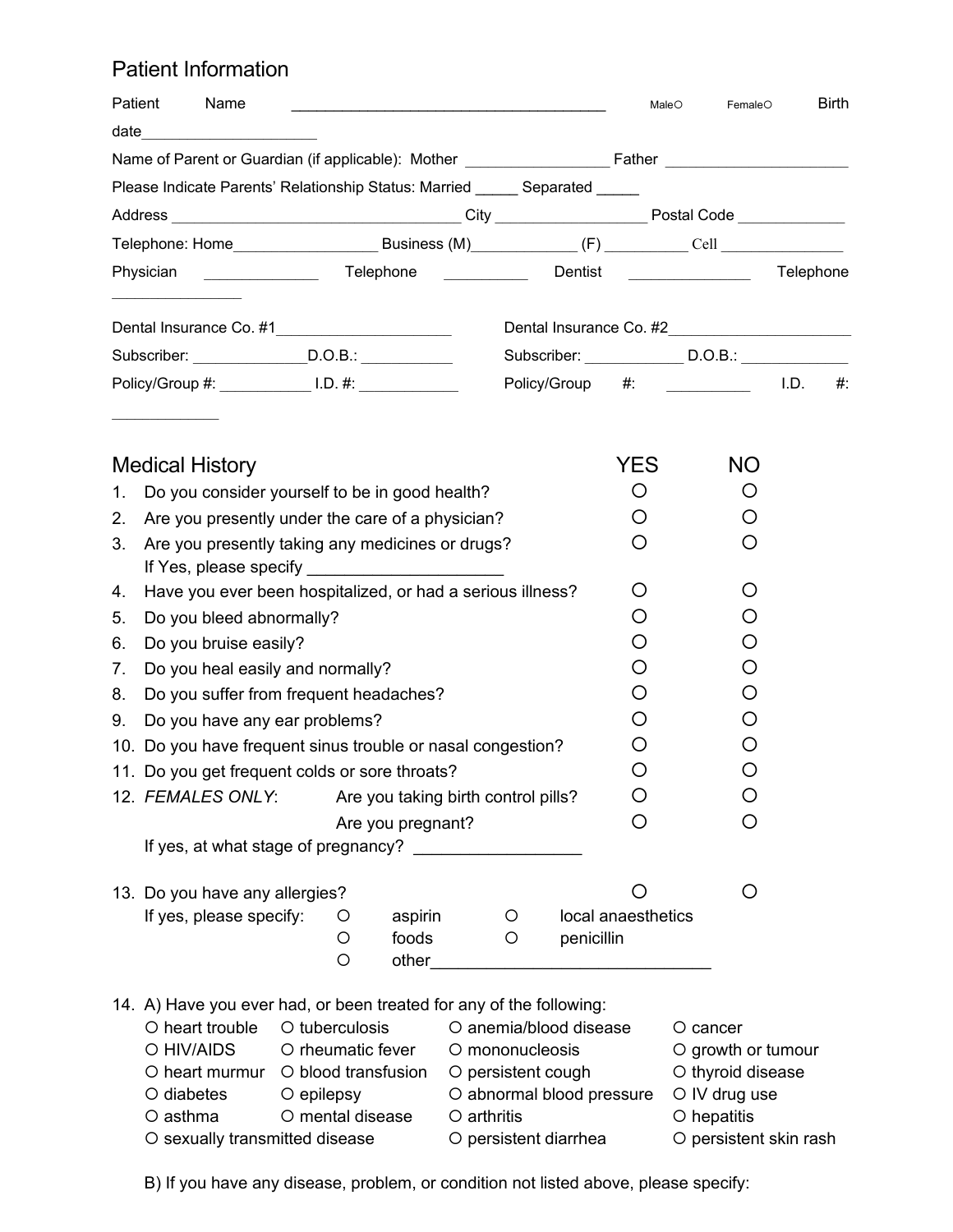## Patient Information

| Patient                                                        | Name                                                        | <u> 1980 - Johann Barbara, martin da kasar Amerikaan kasar dan dina masa dan dina masa dan dina masa dan dina mas</u>                                                |  |                                                                                              |                    | MaleO<br>FemaleO                                                             |  | <b>Birth</b> |
|----------------------------------------------------------------|-------------------------------------------------------------|----------------------------------------------------------------------------------------------------------------------------------------------------------------------|--|----------------------------------------------------------------------------------------------|--------------------|------------------------------------------------------------------------------|--|--------------|
|                                                                | date __________________                                     |                                                                                                                                                                      |  |                                                                                              |                    |                                                                              |  |              |
|                                                                |                                                             |                                                                                                                                                                      |  |                                                                                              |                    |                                                                              |  |              |
|                                                                |                                                             | Please Indicate Parents' Relationship Status: Married _____ Separated _____                                                                                          |  |                                                                                              |                    |                                                                              |  |              |
|                                                                |                                                             |                                                                                                                                                                      |  |                                                                                              |                    |                                                                              |  |              |
|                                                                |                                                             |                                                                                                                                                                      |  |                                                                                              |                    |                                                                              |  |              |
| Telephone __________ Dentist __________ Telephone<br>Physician |                                                             |                                                                                                                                                                      |  |                                                                                              |                    |                                                                              |  |              |
|                                                                |                                                             | Dental Insurance Co. #1_______________________                                                                                                                       |  |                                                                                              |                    |                                                                              |  |              |
| Subscriber: ________________D.O.B.: ___________                |                                                             |                                                                                                                                                                      |  |                                                                                              |                    | Subscriber: _______________ D.O.B.: ____________                             |  |              |
|                                                                |                                                             | Policy/Group #: ______________ I.D. #: _____________                                                                                                                 |  |                                                                                              |                    | Policy/Group #: 1.D.                                                         |  | #            |
|                                                                | <b>Medical History</b>                                      |                                                                                                                                                                      |  |                                                                                              | <b>YES</b>         | <b>NO</b>                                                                    |  |              |
| Do you consider yourself to be in good health?<br>1.           |                                                             |                                                                                                                                                                      |  |                                                                                              | $\left( \right)$   | $\circ$                                                                      |  |              |
| 2.                                                             | Are you presently under the care of a physician?            |                                                                                                                                                                      |  |                                                                                              |                    | Ο                                                                            |  |              |
| 3.                                                             | Are you presently taking any medicines or drugs?            |                                                                                                                                                                      |  |                                                                                              | $\left( \ \right)$ | O                                                                            |  |              |
|                                                                |                                                             |                                                                                                                                                                      |  |                                                                                              |                    |                                                                              |  |              |
| 4.                                                             | Have you ever been hospitalized, or had a serious illness?  |                                                                                                                                                                      |  |                                                                                              |                    | O)                                                                           |  |              |
| 5.                                                             | Do you bleed abnormally?                                    |                                                                                                                                                                      |  |                                                                                              | O                  | O                                                                            |  |              |
| 6.                                                             | Do you bruise easily?                                       |                                                                                                                                                                      |  |                                                                                              | ( )                | ( )                                                                          |  |              |
| 7.                                                             | Do you heal easily and normally?                            |                                                                                                                                                                      |  |                                                                                              | O                  | O                                                                            |  |              |
| 8.                                                             | Do you suffer from frequent headaches?                      |                                                                                                                                                                      |  |                                                                                              |                    | Ő                                                                            |  |              |
| 9.                                                             | Do you have any ear problems?                               |                                                                                                                                                                      |  |                                                                                              | $\left( \ \right)$ | O                                                                            |  |              |
|                                                                | 10. Do you have frequent sinus trouble or nasal congestion? |                                                                                                                                                                      |  |                                                                                              |                    | O                                                                            |  |              |
|                                                                | 11. Do you get frequent colds or sore throats?              |                                                                                                                                                                      |  |                                                                                              |                    | O                                                                            |  |              |
|                                                                | 12. FEMALES ONLY:<br>Are you taking birth control pills?    |                                                                                                                                                                      |  |                                                                                              | O                  | O                                                                            |  |              |
|                                                                |                                                             | Are you pregnant?<br>If yes, at what stage of pregnancy?                                                                                                             |  |                                                                                              | O                  |                                                                              |  |              |
|                                                                | 13. Do you have any allergies?                              |                                                                                                                                                                      |  |                                                                                              | O                  | O                                                                            |  |              |
|                                                                | If yes, please specify:                                     | aspirin<br>O<br>foods<br>O<br>$\circ$<br>other                                                                                                                       |  | O<br>penicillin<br>$\circ$                                                                   | local anaesthetics |                                                                              |  |              |
|                                                                | O heart trouble<br>O HIV/AIDS<br>$\circ$ diabetes           | 14. A) Have you ever had, or been treated for any of the following:<br>O tuberculosis<br>O rheumatic fever<br>O heart murmur O blood transfusion<br>$\circ$ epilepsy |  | O anemia/blood disease<br>O mononucleosis<br>O persistent cough<br>O abnormal blood pressure |                    | $O$ cancer<br>O growth or tumour<br>O thyroid disease<br>$\circ$ IV drug use |  |              |

- O asthma  $\qquad$  O mental disease  $\qquad$  O arthritis  $\qquad$  O hepatitis
- O sexually transmitted disease  $\qquad \qquad$  O persistent diarrhea  $\qquad \qquad$  O persistent skin rash
- 

B) If you have any disease, problem, or condition not listed above, please specify: